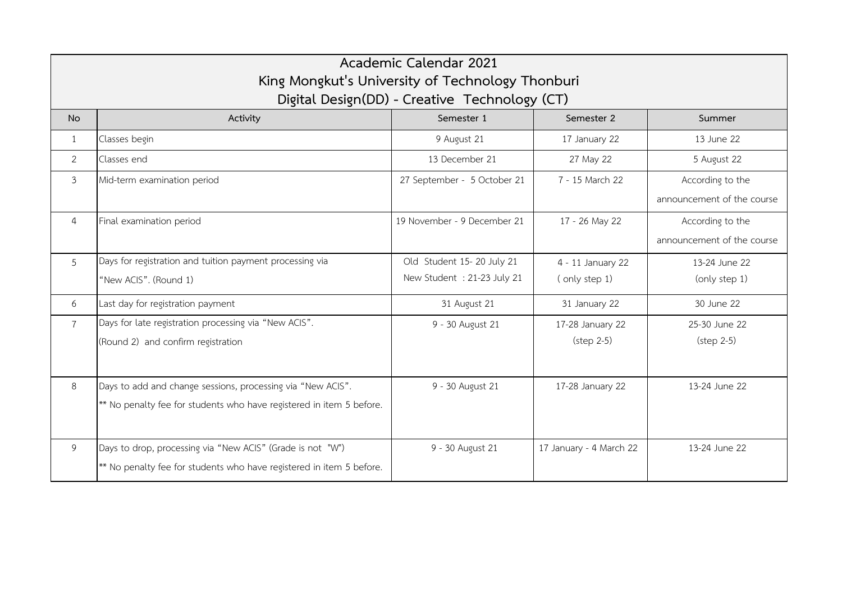| Academic Calendar 2021<br>King Mongkut's University of Technology Thonburi<br>Digital Design(DD) - Creative Technology (CT) |                                                                                                                                     |                             |                                          |                                                |  |  |  |
|-----------------------------------------------------------------------------------------------------------------------------|-------------------------------------------------------------------------------------------------------------------------------------|-----------------------------|------------------------------------------|------------------------------------------------|--|--|--|
| <b>No</b>                                                                                                                   | Activity                                                                                                                            | Semester 1                  | Semester 2                               | Summer                                         |  |  |  |
| 1                                                                                                                           | Classes begin                                                                                                                       | 9 August 21                 | 17 January 22                            | 13 June 22                                     |  |  |  |
| $\overline{2}$                                                                                                              | Classes end                                                                                                                         | 13 December 21              | 27 May 22                                | 5 August 22                                    |  |  |  |
| $\overline{3}$                                                                                                              | Mid-term examination period                                                                                                         | 27 September - 5 October 21 | 7 - 15 March 22                          | According to the<br>announcement of the course |  |  |  |
| 4                                                                                                                           | Final examination period                                                                                                            | 19 November - 9 December 21 | 17 - 26 May 22                           | According to the<br>announcement of the course |  |  |  |
| 5                                                                                                                           | Days for registration and tuition payment processing via                                                                            | Old Student 15-20 July 21   | 4 - 11 January 22                        | 13-24 June 22                                  |  |  |  |
|                                                                                                                             | "New ACIS". (Round 1)                                                                                                               | New Student : 21-23 July 21 | (only step 1)                            | (only step 1)                                  |  |  |  |
| 6                                                                                                                           | Last day for registration payment                                                                                                   | 31 August 21                | 31 January 22                            | 30 June 22                                     |  |  |  |
| $\overline{7}$                                                                                                              | Days for late registration processing via "New ACIS".<br>(Round 2) and confirm registration                                         | 9 - 30 August 21            | 17-28 January 22<br>$(\text{step } 2-5)$ | 25-30 June 22<br>$(\text{step } 2-5)$          |  |  |  |
| 8                                                                                                                           | Days to add and change sessions, processing via "New ACIS".<br>** No penalty fee for students who have registered in item 5 before. | 9 - 30 August 21            | 17-28 January 22                         | 13-24 June 22                                  |  |  |  |
| 9                                                                                                                           | Days to drop, processing via "New ACIS" (Grade is not "W")<br>** No penalty fee for students who have registered in item 5 before.  | 9 - 30 August 21            | 17 January - 4 March 22                  | 13-24 June 22                                  |  |  |  |